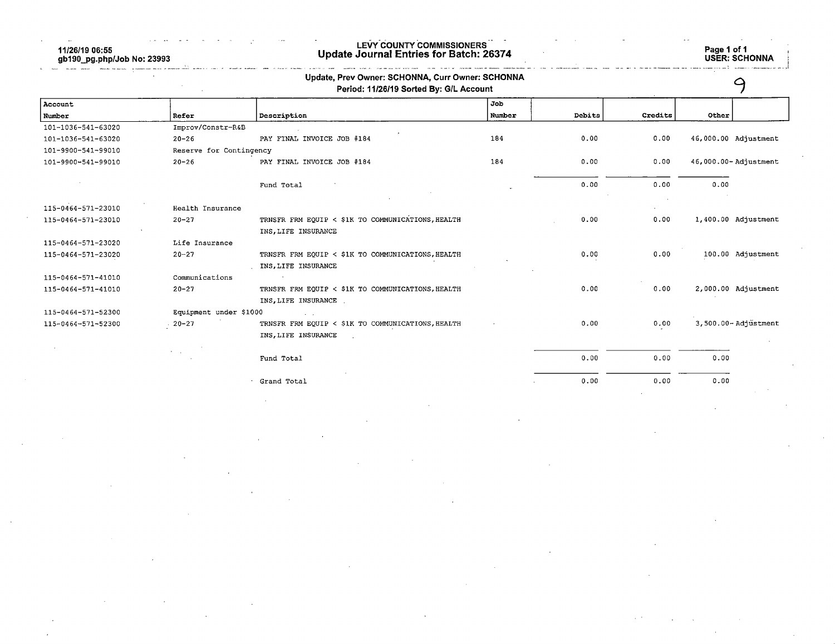11/26/19 06:55 gb190\_pg.php/Job No: 23993

## LEVY COUNTY COMMISSIONERS Update Journal Entries for Batch: 26374 Page 1 of 1

|                    |                         | Update, Prev Owner: SCHONNA, Curr Owner: SCHONNA<br>Period: 11/26/19 Sorted By: G/L Account |        |        |         |                      |  |
|--------------------|-------------------------|---------------------------------------------------------------------------------------------|--------|--------|---------|----------------------|--|
| Account            |                         |                                                                                             | Job    |        |         |                      |  |
| Number             | Refer                   | Description                                                                                 | Number | Debits | Credits | Other                |  |
| 101-1036-541-63020 | Improv/Constr-R&B       |                                                                                             |        |        |         |                      |  |
| 101-1036-541-63020 | $20 - 26$               | PAY FINAL INVOICE JOB #184                                                                  | 184    | 0.00   | 0.00    | 46,000.00 Adjustment |  |
| 101-9900-541-99010 | Reserve for Contingency |                                                                                             |        |        |         |                      |  |
| 101-9900-541-99010 | $20 - 26$               | PAY FINAL INVOICE JOB #184                                                                  | 184    | 0.00   | 0.00    | 46,000.00-Adjustment |  |
|                    |                         | Fund Total                                                                                  |        | 0.00   | 0.00    | 0.00                 |  |
| 115-0464-571-23010 | Health Insurance        |                                                                                             |        |        |         |                      |  |
| 115-0464-571-23010 | $20 - 27$               | TRNSFR FRM EQUIP < \$1K TO COMMUNICATIONS, HEALTH                                           |        | 0.00   | 0.00    | 1,400.00 Adjustment  |  |
|                    |                         | INS, LIFE INSURANCE                                                                         |        |        |         |                      |  |
| 115-0464-571-23020 | Life Insurance          |                                                                                             |        |        |         |                      |  |
| 115-0464-571-23020 | $20 - 27$               | TRNSFR FRM EQUIP < \$1K TO COMMUNICATIONS, HEALTH                                           |        | 0.00   | 0.00    | 100.00 Adjustment    |  |
|                    |                         | INS, LIFE INSURANCE                                                                         |        |        |         |                      |  |
| 115-0464-571-41010 | Communications          |                                                                                             |        |        |         |                      |  |
| 115-0464-571-41010 | $20 - 27$               | TRNSFR FRM EQUIP < \$1K TO COMMUNICATIONS, HEALTH                                           |        | 0.00   | 0.00    | 2,000.00 Adjustment  |  |
|                    |                         | INS, LIFE INSURANCE                                                                         |        |        |         |                      |  |
| 115-0464-571-52300 | Equipment under \$1000  |                                                                                             |        |        |         |                      |  |
| 115-0464-571-52300 | $-20-27$                | TRNSFR FRM EQUIP < \$1K TO COMMUNICATIONS, HEALTH                                           |        | 0.00   | 0.00    | 3,500.00-Adjustment  |  |
|                    |                         | INS, LIFE INSURANCE                                                                         |        |        |         |                      |  |
|                    |                         | Fund Total                                                                                  |        | 0.00   | 0.00    | 0.00                 |  |
|                    |                         | Grand Total                                                                                 |        | 0.00   | 0.00    | 0.00                 |  |
|                    |                         |                                                                                             |        |        |         |                      |  |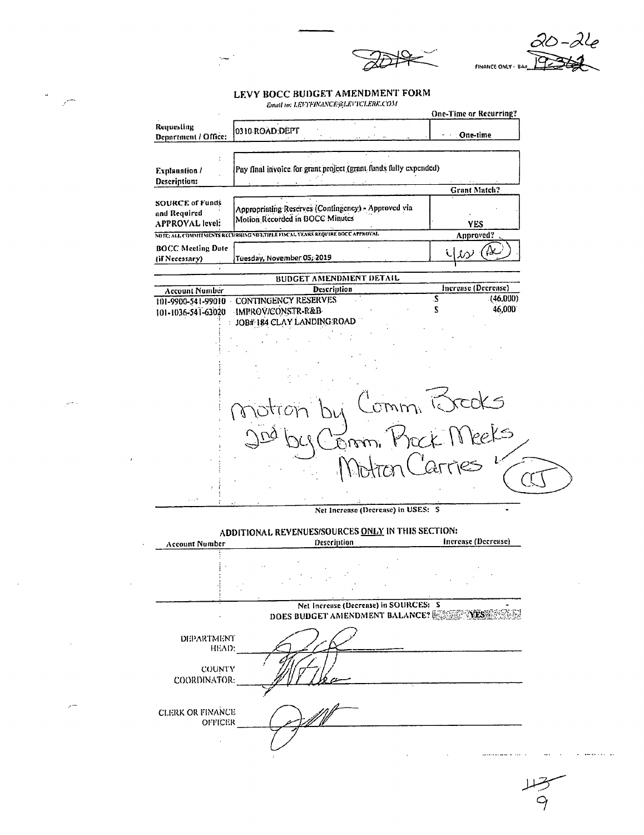20-24 FINANCE ONLY - BAR

## LEVY BOCC BUDGET AMENDMENT FORM Enoit to: LEVYFINANCE@LEVYCLERK.COM

 $\frac{1}{\sqrt{2}}$ 

 $\sim 10^{-11}$ 

|                                                           | CHAIN RE PRA CANADARIAN CHARACTER                                                          | One-Time or Recurring?        |
|-----------------------------------------------------------|--------------------------------------------------------------------------------------------|-------------------------------|
| Requesting<br>Department / Office:                        | 0310 ROAD DEPT                                                                             | One-time<br>$\sim$            |
|                                                           |                                                                                            |                               |
| <b>Explanation /</b><br>Description:                      | Pay final invoice for grant project (grant funds fully expended)                           |                               |
|                                                           |                                                                                            | Grant Match?                  |
| <b>SOURCE of Funds</b><br>and Required<br>APPROYAL level: | Appropriating Reserves (Contingency) - Approved via<br>Motion Recorded in BOCC Minutes     | <b>YES</b>                    |
|                                                           | NOTE: ALL COMMITMENTS RECURRING MIGHTIFLE FISCAL VEARS REQUIRE BOCC APPROVAL.              | Approved?                     |
| <b>BOCC Meeting Date</b><br>(if Necessary)                | Tuesday, November 05, 2019                                                                 |                               |
|                                                           | <b>BUDGET AMENDMENT DETAIL</b>                                                             |                               |
| <b>Account Number</b>                                     | <b>Description</b>                                                                         | Increase (Decrease)           |
| 101-1036-541-63020                                        | 101-9900-541-99010 CONTINGENCY RESERVES<br>IMPROV/CONSTR-R&B<br>JOB# 184 CLAY LANDING ROAD | S.<br>(46,000)<br>46,000<br>S |
|                                                           |                                                                                            |                               |
|                                                           |                                                                                            |                               |
|                                                           |                                                                                            | rcoks                         |
|                                                           |                                                                                            |                               |
|                                                           |                                                                                            |                               |
| $\ldots$                                                  |                                                                                            |                               |
|                                                           | Net Increase (Decrease) in USES: S                                                         |                               |
| Account Number                                            | ADDITIONAL REVENUES/SOURCES ONLY IN THIS SECTION:<br>Description                           | Increase (Decrease)           |
|                                                           |                                                                                            |                               |
|                                                           | Net Increase (Decrease) in SOURCES: S<br>DOES BUDGET AMENDMENT BALANCE? NESSENESS          |                               |
| DEPARTMENT                                                |                                                                                            |                               |
| HEAD:<br>COUNTY<br>COORDINATOR:                           |                                                                                            |                               |
| <b>CLERK OR FINANCE</b><br><b>OFFICER</b>                 |                                                                                            |                               |
|                                                           |                                                                                            |                               |